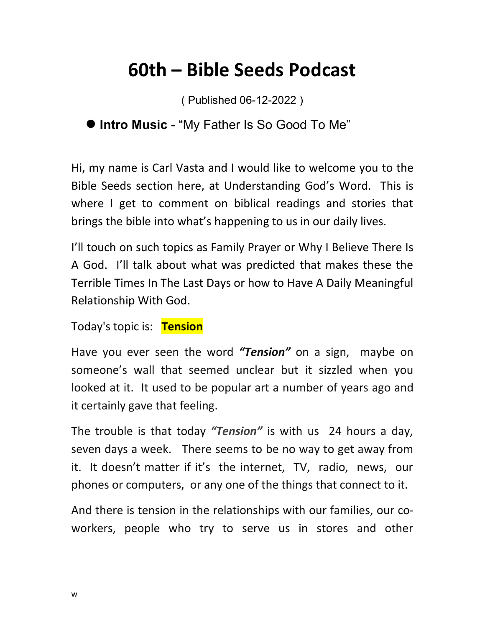## **60th – Bible Seeds Podcast**

( Published 06-12-2022 )

## **Intro Music** - "My Father Is So Good To Me"

Hi, my name is Carl Vasta and I would like to welcome you to the Bible Seeds section here, at Understanding God's Word. This is where I get to comment on biblical readings and stories that brings the bible into what's happening to us in our daily lives.

I'll touch on such topics as Family Prayer or Why I Believe There Is A God. I'll talk about what was predicted that makes these the Terrible Times In The Last Days or how to Have A Daily Meaningful Relationship With God.

Today's topic is: **Tension**

Have you ever seen the word *"Tension"* on a sign, maybe on someone's wall that seemed unclear but it sizzled when you looked at it. It used to be popular art a number of years ago and it certainly gave that feeling.

The trouble is that today *"Tension"* is with us 24 hours a day, seven days a week. There seems to be no way to get away from it. It doesn't matter if it's the internet, TV, radio, news, our phones or computers, or any one of the things that connect to it.

And there is tension in the relationships with our families, our coworkers, people who try to serve us in stores and other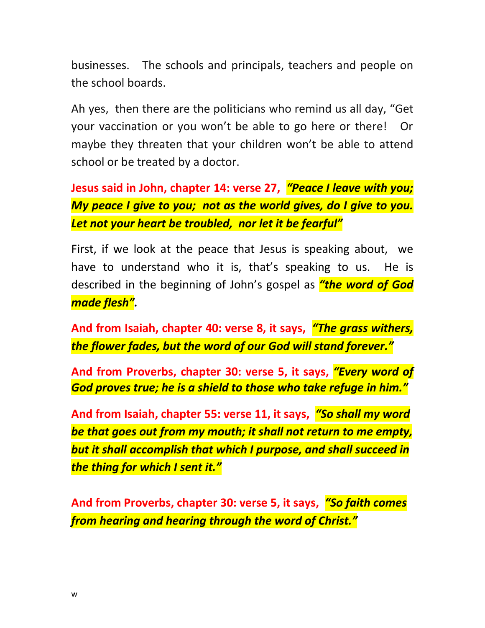businesses. The schools and principals, teachers and people on the school boards.

Ah yes, then there are the politicians who remind us all day, "Get your vaccination or you won't be able to go here or there! Or maybe they threaten that your children won't be able to attend school or be treated by a doctor.

**Jesus said in John, chapter 14: verse 27,** *"Peace I leave with you; My peace I give to you; not as the world gives, do I give to you. Let not your heart be troubled, nor let it be fearful"*

First, if we look at the peace that Jesus is speaking about, we have to understand who it is, that's speaking to us. He is described in the beginning of John's gospel as *"the word of God made flesh".*

**And from Isaiah, chapter 40: verse 8, it says,** *"The grass withers, the flower fades, but the word of our God will stand forever."*

**And from Proverbs, chapter 30: verse 5, it says,** *"Every word of God proves true; he is a shield to those who take refuge in him."*

**And from Isaiah, chapter 55: verse 11, it says,** *"So shall my word be that goes out from my mouth; it shall not return to me empty, but it shall accomplish that which I purpose, and shall succeed in the thing for which I sent it."*

**And from Proverbs, chapter 30: verse 5, it says,** *"So faith comes from hearing and hearing through the word of Christ."*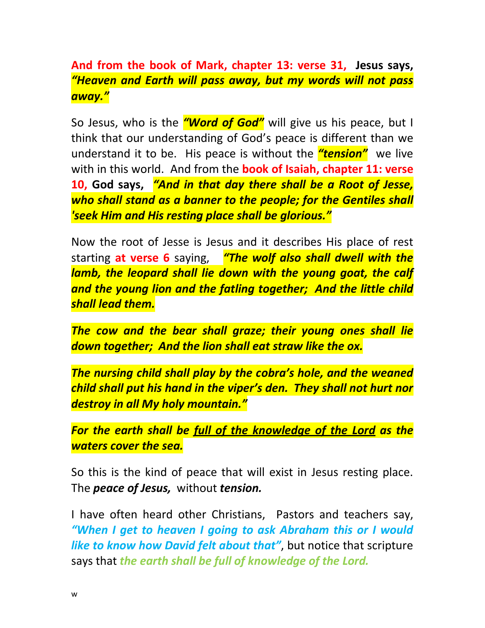**And from the book of Mark, chapter 13: verse 31, Jesus says,**  *"Heaven and Earth will pass away, but my words will not pass away."*

So Jesus, who is the *"Word of God"* will give us his peace, but I think that our understanding of God's peace is different than we understand it to be. His peace is without the *"tension"* we live with in this world. And from the **book of Isaiah, chapter 11: verse 10, God says,** *"And in that day there shall be a Root of Jesse, who shall stand as a banner to the people; for the Gentiles shall 'seek Him and His resting place shall be glorious."*

Now the root of Jesse is Jesus and it describes His place of rest starting **at verse 6** saying, *"The wolf also shall dwell with the*  lamb, the leopard shall lie down with the young goat, the calf *and the young lion and the fatling together; And the little child shall lead them.* 

*The cow and the bear shall graze; their young ones shall lie down together; And the lion shall eat straw like the ox.* 

*The nursing child shall play by the cobra's hole, and the weaned child shall put his hand in the viper's den. They shall not hurt nor destroy in all My holy mountain."*

*For the earth shall be full of the knowledge of the Lord as the waters cover the sea.*

So this is the kind of peace that will exist in Jesus resting place. The *peace of Jesus,* without *tension.*

I have often heard other Christians, Pastors and teachers say, *"When I get to heaven I going to ask Abraham this or I would like to know how David felt about that"*, but notice that scripture says that *the earth shall be full of knowledge of the Lord.*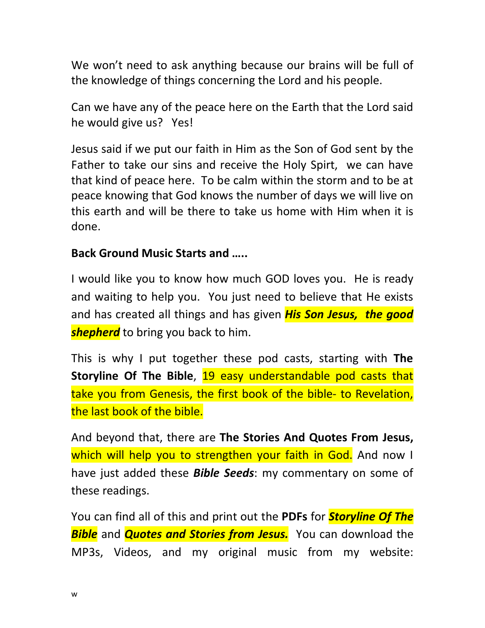We won't need to ask anything because our brains will be full of the knowledge of things concerning the Lord and his people.

Can we have any of the peace here on the Earth that the Lord said he would give us? Yes!

Jesus said if we put our faith in Him as the Son of God sent by the Father to take our sins and receive the Holy Spirt, we can have that kind of peace here. To be calm within the storm and to be at peace knowing that God knows the number of days we will live on this earth and will be there to take us home with Him when it is done.

## **Back Ground Music Starts and …..**

I would like you to know how much GOD loves you. He is ready and waiting to help you. You just need to believe that He exists and has created all things and has given *His Son Jesus, the good shepherd* to bring you back to him.

This is why I put together these pod casts, starting with **The Storyline Of The Bible**, 19 easy understandable pod casts that take you from Genesis, the first book of the bible- to Revelation, the last book of the bible.

And beyond that, there are **The Stories And Quotes From Jesus,** which will help you to strengthen your faith in God. And now I have just added these *Bible Seeds*: my commentary on some of these readings.

You can find all of this and print out the **PDFs** for *Storyline Of The Bible* and *Quotes and Stories from Jesus.* You can download the MP3s, Videos, and my original music from my website: